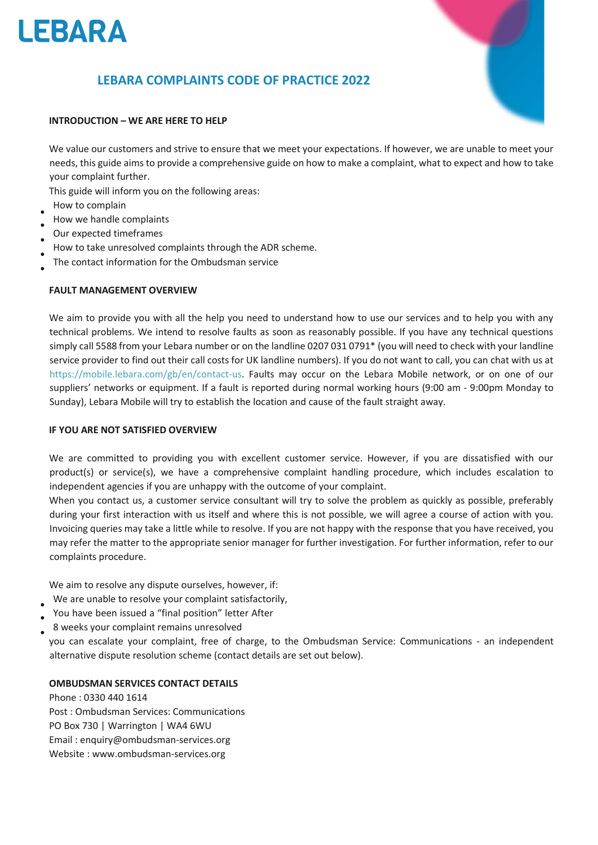

# **LEBARA COMPLAINTS CODE OF PRACTICE 2022**



#### **INTRODUCTION – WE ARE HERE TO HELP**

We value our customers and strive to ensure that we meet your expectations. If however, we are unable to meet your needs, this guide aims to provide a comprehensive guide on how to make a complaint, what to expect and how to take your complaint further.

This guide will inform you on the following areas:

- How to complain
- How we handle complaints
- Our expected timeframes
- How to take unresolved complaints through the ADR scheme.
- The contact information for the Ombudsman service

## **FAULT MANAGEMENT OVERVIEW**

We aim to provide you with all the help you need to understand how to use our services and to help you with any technical problems. We intend to resolve faults as soon as reasonably possible. If you have any technical questions simply call 5588 from your Lebara number or on the landline 0207 031 0791\* (you will need to check with your landline service provider to find out their call costs for UK landline numbers). If you do not want to call, you can chat with us at https://mobile.lebara.com/gb/en/contact-us. Faults may occur on the Lebara Mobile network, or on one of our suppliers' networks or equipment. If a fault is reported during normal working hours (9:00 am - 9:00pm Monday to Sunday), Lebara Mobile will try to establish the location and cause of the fault straight away.

#### **IF YOU ARE NOT SATISFIED OVERVIEW**

We are committed to providing you with excellent customer service. However, if you are dissatisfied with our product(s) or service(s), we have a comprehensive complaint handling procedure, which includes escalation to independent agencies if you are unhappy with the outcome of your complaint.

When you contact us, a customer service consultant will try to solve the problem as quickly as possible, preferably during your first interaction with us itself and where this is not possible, we will agree a course of action with you. Invoicing queries may take a little while to resolve. If you are not happy with the response that you have received, you may refer the matter to the appropriate senior manager for further investigation. For further information, refer to our complaints procedure.

We aim to resolve any dispute ourselves, however, if:

- We are unable to resolve your complaint satisfactorily,
- You have been issued a "final position" letter After
- 8 weeks your complaint remains unresolved

you can escalate your complaint, free of charge, to the Ombudsman Service: Communications - an independent alternative dispute resolution scheme (contact details are set out below).

## **OMBUDSMAN SERVICES CONTACT DETAILS**

Phone : 0330 440 1614 Post : Ombudsman Services: Communications PO Box 730 | Warrington | WA4 6WU Email : enquiry@ombudsman-services.org Website : www.ombudsman-services.org